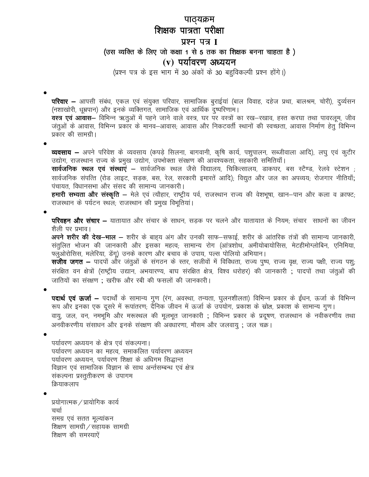## पाठ्यक्रम शिक्षक पात्रता परीक्षा प्रश्न पत्र I (उस व्यक्ति के लिए जो कक्षा 1 से 5 तक का शिक्षक बनना चाहता है)  $(v)$  पर्यावरण अध्ययन

(प्रश्न पत्र के इस भाग में 30 अंकों के 30 बहुविकल्पी प्रश्न होंगे।)

**परिवार —** आपसी संबंध, एकल एवं संयुक्त परिवार, सामाजिक बुराईयां (बाल विवाह, दहेज प्रथा, बालश्रम, चोरी), दुर्व्यसन (नशाखोरी, धूम्रपान) और इनके व्यक्तिगत, सामाजिक एवं आर्थिक दुष्परिणाम।

.<br>वस्त्र एवं आवास- विभिन्न ऋतुओं में पहने जाने वाले वस्त्र, घर पर वस्त्रों का रख-रखाव, हस्त करघा तथा पावरलूम, जीव जंतुओं के आवास, विभिन्न प्रकार के मानव–आवास; आवास और निकटवर्ती स्थानों की स्वच्छता, आवास निर्माण हेतु विभिन्न प्रकार की सामग्री।

व्यवसाय – अपने परिवेश के व्यवसाय (कपड़े सिलना, बागवानी, कृषि कार्य, पशुपालन, सब्जीवाला आदि), लघु एवं कुटीर उद्योग, राजस्थान राज्य के प्रमुख उद्योग, उपभोक्ता संरक्षण की आवश्यकता, सहकारी समितियाँ।

**सार्वजनिक स्थल एवं संस्थाएं –** सार्वजनिक स्थल जैसे विद्यालय, चिकित्सालय, डाकघर, बस स्टैण्ड, रेलवे स्टेशन ; सार्वजनिक संपत्ति (रोड लाइट, सड़क, बस, रेल, सरकारी इमारतें आदि); विद्युत और जल का अपव्यय; रोजगार नीतियाँ; पंचायत, विधानसभा और संसद की सामान्य जानकारी।

हमारी सभ्यता और संस्कृति – मेले एवं त्यौहार, राष्ट्रीय पर्व, राजस्थान राज्य की वेशभूषा, खान-पान और कला व क्राफ्ट; राजस्थान के पर्यटन स्थल; राजस्थान की प्रमुख विभूतियां।

परिवहन और संचार – यातायात और संचार के साधन, सड़क पर चलने और यातायात के नियम; संचार साधनों का जीवन शैली पर प्रभाव।

अपने शरीर की देख-भाल - शरीर के बाह्य अंग और उनकी साफ-सफाई, शरीर के आंतरिक तंत्रों की सामान्य जानकारी, संतुलित भोजन की जानकारी और इसका महत्व; सामान्य रोग (आंत्रशोथ, अमीयोबायोसिस, मेटहीमोग्लोबिन, एनिमिया, फ्लुओरोसिस, मलेरिया, डेंगू) उनके कारण और बचाव के उपाय, पल्स पोलियो अभियान।

**सजीव जगत —** पादपों और जंतुओं के संगठन के स्तर, सजीवों में विविधता, राज्य पुष्प, राज्य वृक्ष, राज्य पक्षी, राज्य पशु, संरक्षित वन क्षेत्रों (राष्ट्रीय उद्यान, अभयारण्य, बाघ संरक्षित क्षेत्र, विश्व धरोहर) की जानकारी ; पादपों तथा जतुओं की जातियों का संरक्षण ; खरीफ और रबी की फसलों की जानकारी।

पदार्थ एवं ऊर्जा – पदार्थों के सामान्य गुण (रंग, अवस्था, तन्यता, घुलनशीलता) विभिन्न प्रकार के ईंधन, ऊर्जा के विभिन्न रूप और इनका एक दूसरे में रूपांतरण; दैनिक जीवन में ऊर्जा के उपयोग, प्रकाश के स्रोत, प्रकाश के सामान्य गुण। वायु, जल, वन, नमभूमि और मरूस्थल की मूलभूत जानकारी ; विभिन्न प्रकार के प्रदूषण, राजस्थान के नवीकरणीय तथा अनवीकरणीय संसाधन और इनके संरक्षण की अवधारणा, मौसम और जलवायु ; जल चक्र।

पर्यावरण अध्ययन के क्षेत्र एवं संकल्पना। पर्यावरण अध्ययन का महत्व, समाकलित पर्यावरण अध्ययन पर्यावरण अध्ययन, पर्यावरण शिक्षा के अधिगम सिद्धान्त विज्ञान एवं सामाजिक विज्ञान के साथ अर्न्तसम्बन्ध एवं क्षेत्र संकल्पना प्रस्तुतीकरण के उपागम क्रियाकलाप

प्रयोगात्मक / प्रायोगिक कार्य चर्चा समग्र एवं सतत मूल्यांकन शिक्षण सामग्री / सहायक सामग्री शिक्षण की समस्याऐं